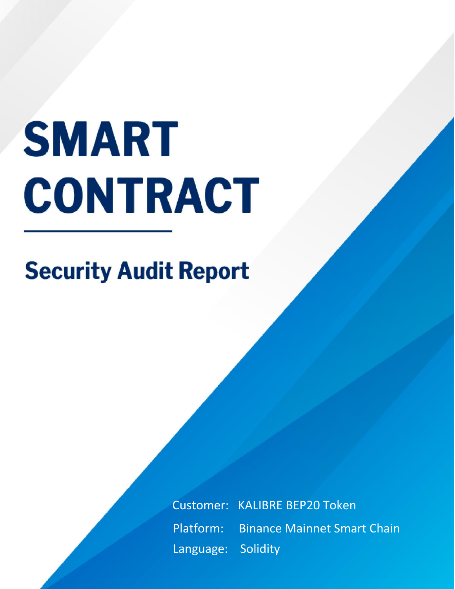# **SMART CONTRACT**

# **Security Audit Report**

**Bread Token Customer: KALIBRE BEP20 Token Code Review Analysis Report Report Analysis Report Analysis Report Analysis Report Analysis Report Analysis Report Analysis Report Analysis Report Analysis Report Analysis Report Analysis Report Analysis Report Analysis R** Language: Solidity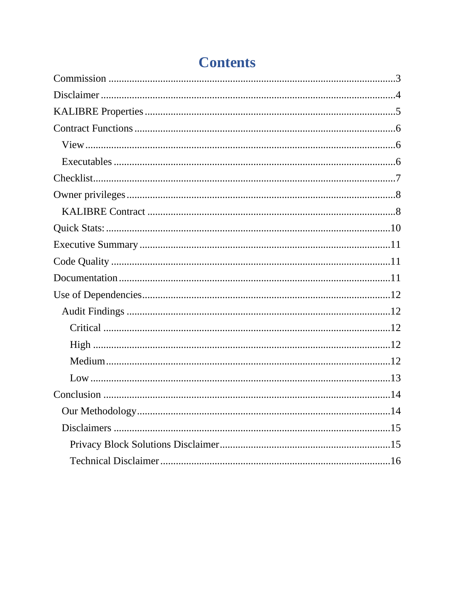# **Contents**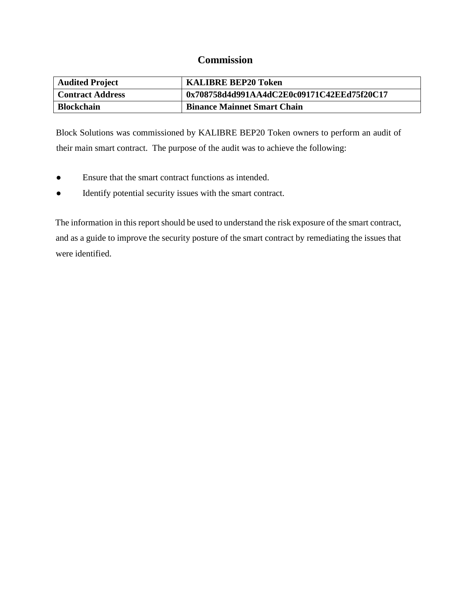## **Commission**

<span id="page-2-0"></span>

| <b>Audited Project</b>  | <b>KALIBRE BEP20 Token</b>                 |
|-------------------------|--------------------------------------------|
| <b>Contract Address</b> | 0x708758d4d991AA4dC2E0c09171C42EEd75f20C17 |
| <b>Blockchain</b>       | <b>Binance Mainnet Smart Chain</b>         |

Block Solutions was commissioned by KALIBRE BEP20 Token owners to perform an audit of their main smart contract. The purpose of the audit was to achieve the following:

- Ensure that the smart contract functions as intended.
- Identify potential security issues with the smart contract.

The information in this report should be used to understand the risk exposure of the smart contract, and as a guide to improve the security posture of the smart contract by remediating the issues that were identified.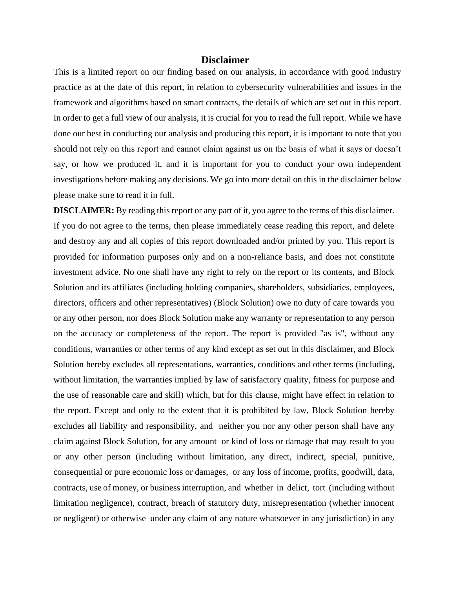#### **Disclaimer**

<span id="page-3-0"></span>This is a limited report on our finding based on our analysis, in accordance with good industry practice as at the date of this report, in relation to cybersecurity vulnerabilities and issues in the framework and algorithms based on smart contracts, the details of which are set out in this report. In order to get a full view of our analysis, it is crucial for you to read the full report. While we have done our best in conducting our analysis and producing this report, it is important to note that you should not rely on this report and cannot claim against us on the basis of what it says or doesn't say, or how we produced it, and it is important for you to conduct your own independent investigations before making any decisions. We go into more detail on this in the disclaimer below please make sure to read it in full.

**DISCLAIMER:** By reading this report or any part of it, you agree to the terms of this disclaimer. If you do not agree to the terms, then please immediately cease reading this report, and delete and destroy any and all copies of this report downloaded and/or printed by you. This report is provided for information purposes only and on a non-reliance basis, and does not constitute investment advice. No one shall have any right to rely on the report or its contents, and Block Solution and its affiliates (including holding companies, shareholders, subsidiaries, employees, directors, officers and other representatives) (Block Solution) owe no duty of care towards you or any other person, nor does Block Solution make any warranty or representation to any person on the accuracy or completeness of the report. The report is provided "as is", without any conditions, warranties or other terms of any kind except as set out in this disclaimer, and Block Solution hereby excludes all representations, warranties, conditions and other terms (including, without limitation, the warranties implied by law of satisfactory quality, fitness for purpose and the use of reasonable care and skill) which, but for this clause, might have effect in relation to the report. Except and only to the extent that it is prohibited by law, Block Solution hereby excludes all liability and responsibility, and neither you nor any other person shall have any claim against Block Solution, for any amount or kind of loss or damage that may result to you or any other person (including without limitation, any direct, indirect, special, punitive, consequential or pure economic loss or damages, or any loss of income, profits, goodwill, data, contracts, use of money, or business interruption, and whether in delict, tort (including without limitation negligence), contract, breach of statutory duty, misrepresentation (whether innocent or negligent) or otherwise under any claim of any nature whatsoever in any jurisdiction) in any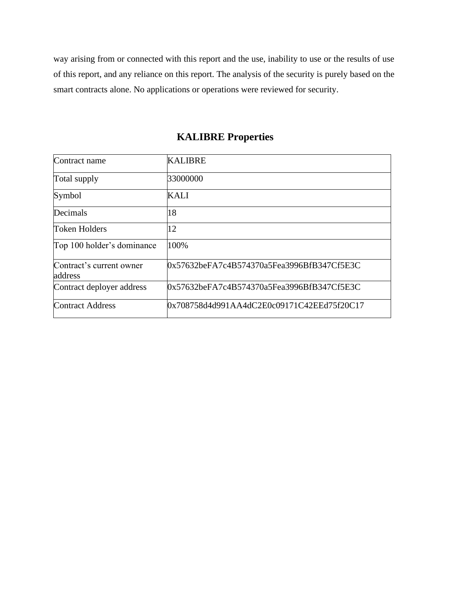way arising from or connected with this report and the use, inability to use or the results of use of this report, and any reliance on this report. The analysis of the security is purely based on the smart contracts alone. No applications or operations were reviewed for security.

<span id="page-4-0"></span>

| Contract name                       | <b>KALIBRE</b>                             |
|-------------------------------------|--------------------------------------------|
| Total supply                        | 33000000                                   |
| Symbol                              | <b>KALI</b>                                |
| Decimals                            | 18                                         |
| <b>Token Holders</b>                | 12                                         |
| Top 100 holder's dominance          | 100%                                       |
| Contract's current owner<br>address | 0x57632beFA7c4B574370a5Fea3996BfB347Cf5E3C |
| Contract deployer address           | 0x57632beFA7c4B574370a5Fea3996BfB347Cf5E3C |
| <b>Contract Address</b>             | 0x708758d4d991AA4dC2E0c09171C42EEd75f20C17 |

# **KALIBRE Properties**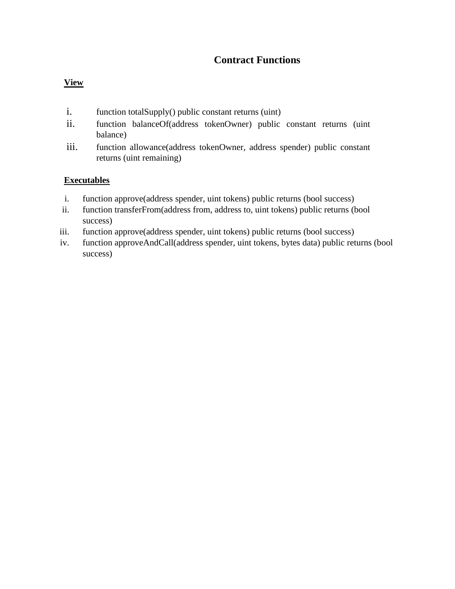# **Contract Functions**

#### <span id="page-5-1"></span><span id="page-5-0"></span>**View**

- i. function totalSupply() public constant returns (uint)
- ii. function balanceOf(address tokenOwner) public constant returns (uint balance)
- iii. function allowance(address tokenOwner, address spender) public constant returns (uint remaining)

#### <span id="page-5-2"></span>**Executables**

- i. function approve(address spender, uint tokens) public returns (bool success)
- ii. function transferFrom(address from, address to, uint tokens) public returns (bool success)
- iii. function approve(address spender, uint tokens) public returns (bool success)
- iv. function approveAndCall(address spender, uint tokens, bytes data) public returns (bool success)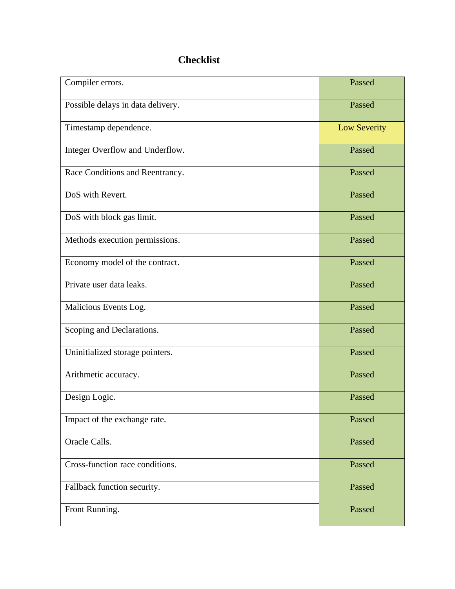# **Checklist**

<span id="page-6-0"></span>

| Compiler errors.                  | Passed              |
|-----------------------------------|---------------------|
| Possible delays in data delivery. | Passed              |
| Timestamp dependence.             | <b>Low Severity</b> |
| Integer Overflow and Underflow.   | Passed              |
| Race Conditions and Reentrancy.   | Passed              |
| DoS with Revert.                  | Passed              |
| DoS with block gas limit.         | Passed              |
| Methods execution permissions.    | Passed              |
| Economy model of the contract.    | Passed              |
| Private user data leaks.          | Passed              |
| Malicious Events Log.             | Passed              |
| Scoping and Declarations.         | Passed              |
| Uninitialized storage pointers.   | Passed              |
| Arithmetic accuracy.              | Passed              |
| Design Logic.                     | Passed              |
| Impact of the exchange rate.      | Passed              |
| Oracle Calls.                     | Passed              |
| Cross-function race conditions.   | Passed              |
| Fallback function security.       | Passed              |
| Front Running.                    | Passed              |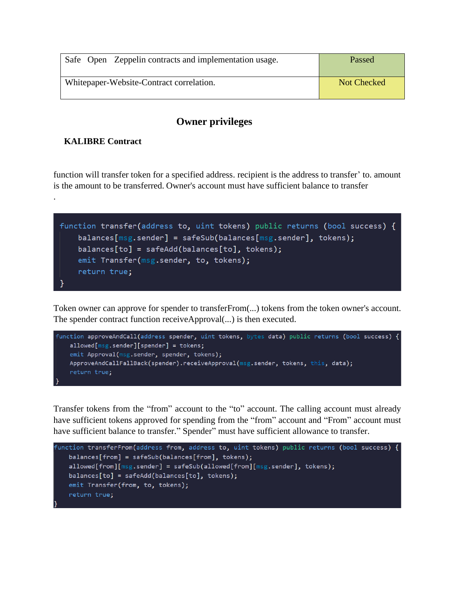| Safe Open Zeppelin contracts and implementation usage. | Passed      |
|--------------------------------------------------------|-------------|
| Whitepaper-Website-Contract correlation.               | Not Checked |

# **Owner privileges**

# <span id="page-7-1"></span><span id="page-7-0"></span>**KALIBRE Contract**

.

function will transfer token for a specified address. recipient is the address to transfer' to. amount is the amount to be transferred. Owner's account must have sufficient balance to transfer



Token owner can approve for spender to transferFrom(...) tokens from the token owner's account. The spender contract function receiveApproval(...) is then executed.



Transfer tokens from the "from" account to the "to" account. The calling account must already have sufficient tokens approved for spending from the "from" account and "From" account must have sufficient balance to transfer." Spender" must have sufficient allowance to transfer.

```
function transferFrom(address from, address to, uint tokens) public returns (bool success) {
 balances[from] = safeSub(balances[from], tokens);
 allowed[from][msg.sender] = safeSub(allowed[from][msg.sender], tokens);
balances [to] = safeAdd(balance [to], tokens);emit Transfer(from, to, tokens);
 return true;
```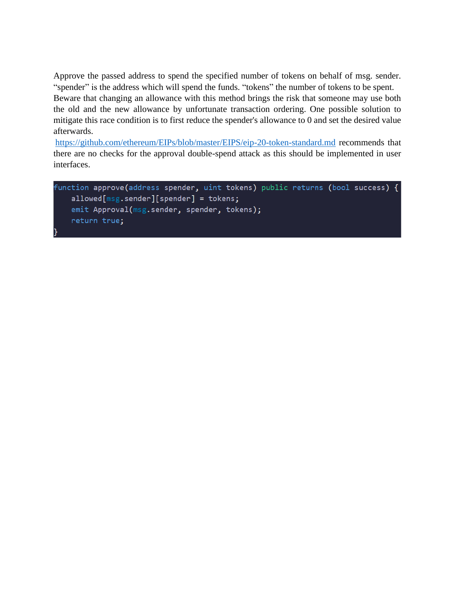Approve the passed address to spend the specified number of tokens on behalf of msg. sender. "spender" is the address which will spend the funds. "tokens" the number of tokens to be spent. Beware that changing an allowance with this method brings the risk that someone may use both the old and the new allowance by unfortunate transaction ordering. One possible solution to mitigate this race condition is to first reduce the spender's allowance to 0 and set the desired value afterwards.

<https://github.com/ethereum/EIPs/blob/master/EIPS/eip-20-token-standard.md> recommends that there are no checks for the approval double-spend attack as this should be implemented in user interfaces.

```
function approve(address spender, uint tokens) public returns (bool success) {
allowed[msg.sender][spender] = tokens;emit Approval(msg.sender, spender, tokens);
return true;
```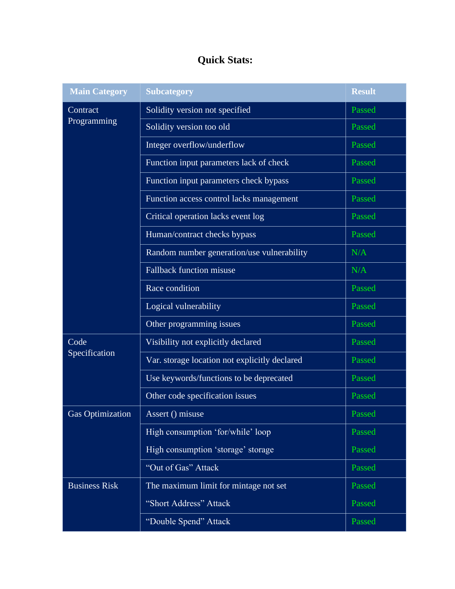# **Quick Stats:**

<span id="page-9-0"></span>

| <b>Main Category</b>    | <b>Subcategory</b>                            | <b>Result</b> |
|-------------------------|-----------------------------------------------|---------------|
| Contract<br>Programming | Solidity version not specified                | Passed        |
|                         | Solidity version too old                      | Passed        |
|                         | Integer overflow/underflow                    | Passed        |
|                         | Function input parameters lack of check       | Passed        |
|                         | Function input parameters check bypass        | Passed        |
|                         | Function access control lacks management      | Passed        |
|                         | Critical operation lacks event log            | Passed        |
|                         | Human/contract checks bypass                  | Passed        |
|                         | Random number generation/use vulnerability    | N/A           |
|                         | <b>Fallback function misuse</b>               | N/A           |
|                         | Race condition                                | Passed        |
|                         | Logical vulnerability                         | Passed        |
|                         | Other programming issues                      | Passed        |
| Code<br>Specification   | Visibility not explicitly declared            | Passed        |
|                         | Var. storage location not explicitly declared | Passed        |
|                         | Use keywords/functions to be deprecated       | Passed        |
|                         | Other code specification issues               | Passed        |
| Gas Optimization        | Assert () misuse                              | Passed        |
|                         | High consumption 'for/while' loop             | Passed        |
|                         | High consumption 'storage' storage            | Passed        |
|                         | "Out of Gas" Attack                           | Passed        |
| <b>Business Risk</b>    | The maximum limit for mintage not set         | Passed        |
|                         | "Short Address" Attack                        | Passed        |
|                         | "Double Spend" Attack                         | Passed        |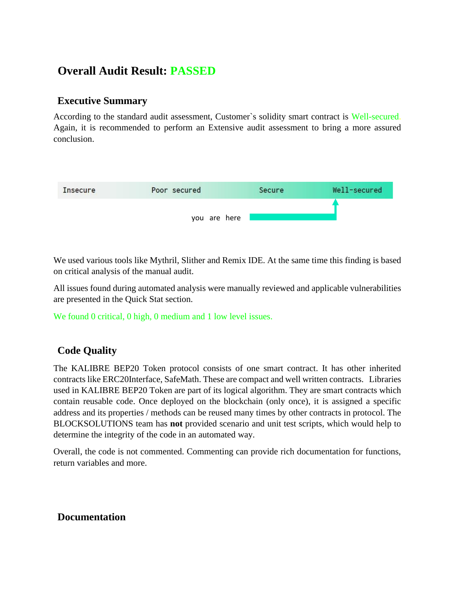# **Overall Audit Result: PASSED**

# <span id="page-10-0"></span>**Executive Summary**

According to the standard audit assessment, Customer`s solidity smart contract is Well-secured. Again, it is recommended to perform an Extensive audit assessment to bring a more assured conclusion.



We used various tools like Mythril, Slither and Remix IDE. At the same time this finding is based on critical analysis of the manual audit.

All issues found during automated analysis were manually reviewed and applicable vulnerabilities are presented in the Quick Stat section.

We found 0 critical, 0 high, 0 medium and 1 low level issues.

# <span id="page-10-1"></span>**Code Quality**

The KALIBRE BEP20 Token protocol consists of one smart contract. It has other inherited contracts like ERC20Interface, SafeMath. These are compact and well written contracts. Libraries used in KALIBRE BEP20 Token are part of its logical algorithm. They are smart contracts which contain reusable code. Once deployed on the blockchain (only once), it is assigned a specific address and its properties / methods can be reused many times by other contracts in protocol. The BLOCKSOLUTIONS team has **not** provided scenario and unit test scripts, which would help to determine the integrity of the code in an automated way.

Overall, the code is not commented. Commenting can provide rich documentation for functions, return variables and more.

# <span id="page-10-2"></span>**Documentation**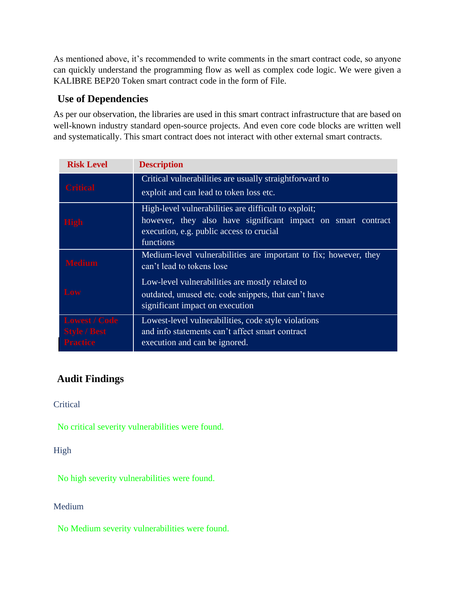As mentioned above, it's recommended to write comments in the smart contract code, so anyone can quickly understand the programming flow as well as complex code logic. We were given a KALIBRE BEP20 Token smart contract code in the form of File.

# <span id="page-11-0"></span>**Use of Dependencies**

As per our observation, the libraries are used in this smart contract infrastructure that are based on well-known industry standard open-source projects. And even core code blocks are written well and systematically. This smart contract does not interact with other external smart contracts.

| <b>Risk Level</b>                                              | <b>Description</b>                                                                                                                                                            |
|----------------------------------------------------------------|-------------------------------------------------------------------------------------------------------------------------------------------------------------------------------|
| <b>Critical</b>                                                | Critical vulnerabilities are usually straightforward to<br>exploit and can lead to token loss etc.                                                                            |
| <b>High</b>                                                    | High-level vulnerabilities are difficult to exploit;<br>however, they also have significant impact on smart contract<br>execution, e.g. public access to crucial<br>functions |
| <b>Medium</b>                                                  | Medium-level vulnerabilities are important to fix; however, they<br>can't lead to tokens lose                                                                                 |
| Low                                                            | Low-level vulnerabilities are mostly related to<br>outdated, unused etc. code snippets, that can't have<br>significant impact on execution                                    |
| <b>Lowest / Code</b><br><b>Style / Best</b><br><b>Practice</b> | Lowest-level vulnerabilities, code style violations<br>and info statements can't affect smart contract<br>execution and can be ignored.                                       |

# <span id="page-11-1"></span>**Audit Findings**

<span id="page-11-2"></span>**Critical** 

No critical severity vulnerabilities were found.

<span id="page-11-3"></span>High

No high severity vulnerabilities were found.

<span id="page-11-4"></span>Medium

No Medium severity vulnerabilities were found.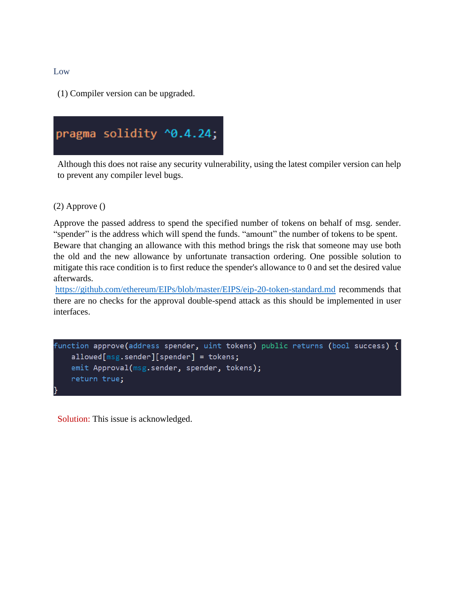<span id="page-12-0"></span>Low

(1) Compiler version can be upgraded.



Although this does not raise any security vulnerability, using the latest compiler version can help to prevent any compiler level bugs.

(2) Approve ()

Approve the passed address to spend the specified number of tokens on behalf of msg. sender. "spender" is the address which will spend the funds. "amount" the number of tokens to be spent. Beware that changing an allowance with this method brings the risk that someone may use both the old and the new allowance by unfortunate transaction ordering. One possible solution to mitigate this race condition is to first reduce the spender's allowance to 0 and set the desired value afterwards.

<https://github.com/ethereum/EIPs/blob/master/EIPS/eip-20-token-standard.md> recommends that there are no checks for the approval double-spend attack as this should be implemented in user interfaces.

```
function approve(address spender, uint tokens) public returns (bool success) {
allowed[msg.sender][spender] = tokens;emit Approval(msg.sender, spender, tokens);
 return true;
```
Solution: This issue is acknowledged.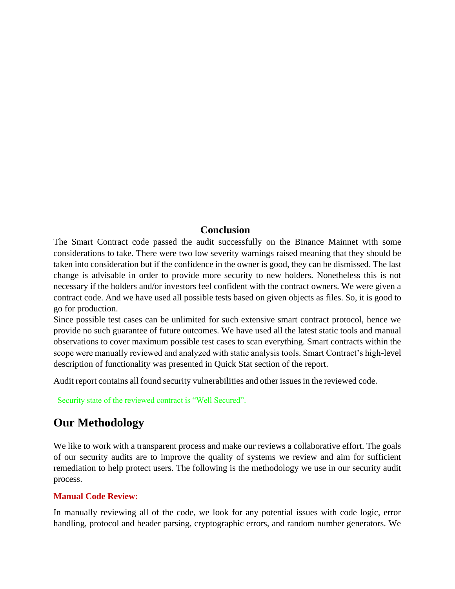# **Conclusion**

<span id="page-13-0"></span>The Smart Contract code passed the audit successfully on the Binance Mainnet with some considerations to take. There were two low severity warnings raised meaning that they should be taken into consideration but if the confidence in the owner is good, they can be dismissed. The last change is advisable in order to provide more security to new holders. Nonetheless this is not necessary if the holders and/or investors feel confident with the contract owners. We were given a contract code. And we have used all possible tests based on given objects as files. So, it is good to go for production.

Since possible test cases can be unlimited for such extensive smart contract protocol, hence we provide no such guarantee of future outcomes. We have used all the latest static tools and manual observations to cover maximum possible test cases to scan everything. Smart contracts within the scope were manually reviewed and analyzed with static analysis tools. Smart Contract's high-level description of functionality was presented in Quick Stat section of the report.

Audit report contains all found security vulnerabilities and other issues in the reviewed code.

Security state of the reviewed contract is "Well Secured".

# <span id="page-13-1"></span>**Our Methodology**

We like to work with a transparent process and make our reviews a collaborative effort. The goals of our security audits are to improve the quality of systems we review and aim for sufficient remediation to help protect users. The following is the methodology we use in our security audit process.

### **Manual Code Review:**

In manually reviewing all of the code, we look for any potential issues with code logic, error handling, protocol and header parsing, cryptographic errors, and random number generators. We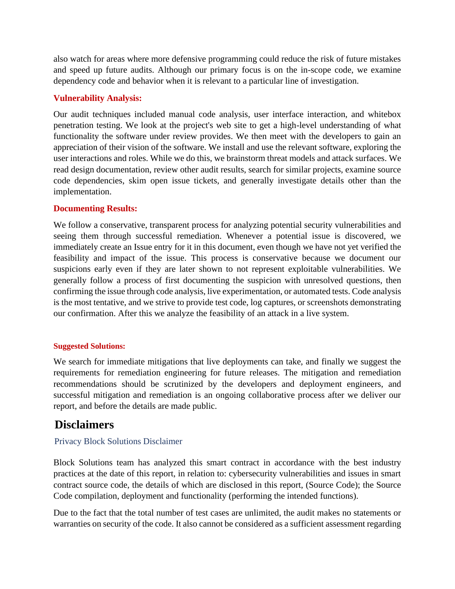also watch for areas where more defensive programming could reduce the risk of future mistakes and speed up future audits. Although our primary focus is on the in-scope code, we examine dependency code and behavior when it is relevant to a particular line of investigation.

### **Vulnerability Analysis:**

Our audit techniques included manual code analysis, user interface interaction, and whitebox penetration testing. We look at the project's web site to get a high-level understanding of what functionality the software under review provides. We then meet with the developers to gain an appreciation of their vision of the software. We install and use the relevant software, exploring the user interactions and roles. While we do this, we brainstorm threat models and attack surfaces. We read design documentation, review other audit results, search for similar projects, examine source code dependencies, skim open issue tickets, and generally investigate details other than the implementation.

#### **Documenting Results:**

We follow a conservative, transparent process for analyzing potential security vulnerabilities and seeing them through successful remediation. Whenever a potential issue is discovered, we immediately create an Issue entry for it in this document, even though we have not yet verified the feasibility and impact of the issue. This process is conservative because we document our suspicions early even if they are later shown to not represent exploitable vulnerabilities. We generally follow a process of first documenting the suspicion with unresolved questions, then confirming the issue through code analysis, live experimentation, or automated tests. Code analysis is the most tentative, and we strive to provide test code, log captures, or screenshots demonstrating our confirmation. After this we analyze the feasibility of an attack in a live system.

#### **Suggested Solutions:**

We search for immediate mitigations that live deployments can take, and finally we suggest the requirements for remediation engineering for future releases. The mitigation and remediation recommendations should be scrutinized by the developers and deployment engineers, and successful mitigation and remediation is an ongoing collaborative process after we deliver our report, and before the details are made public.

# <span id="page-14-0"></span>**Disclaimers**

#### <span id="page-14-1"></span>Privacy Block Solutions Disclaimer

Block Solutions team has analyzed this smart contract in accordance with the best industry practices at the date of this report, in relation to: cybersecurity vulnerabilities and issues in smart contract source code, the details of which are disclosed in this report, (Source Code); the Source Code compilation, deployment and functionality (performing the intended functions).

Due to the fact that the total number of test cases are unlimited, the audit makes no statements or warranties on security of the code. It also cannot be considered as a sufficient assessment regarding